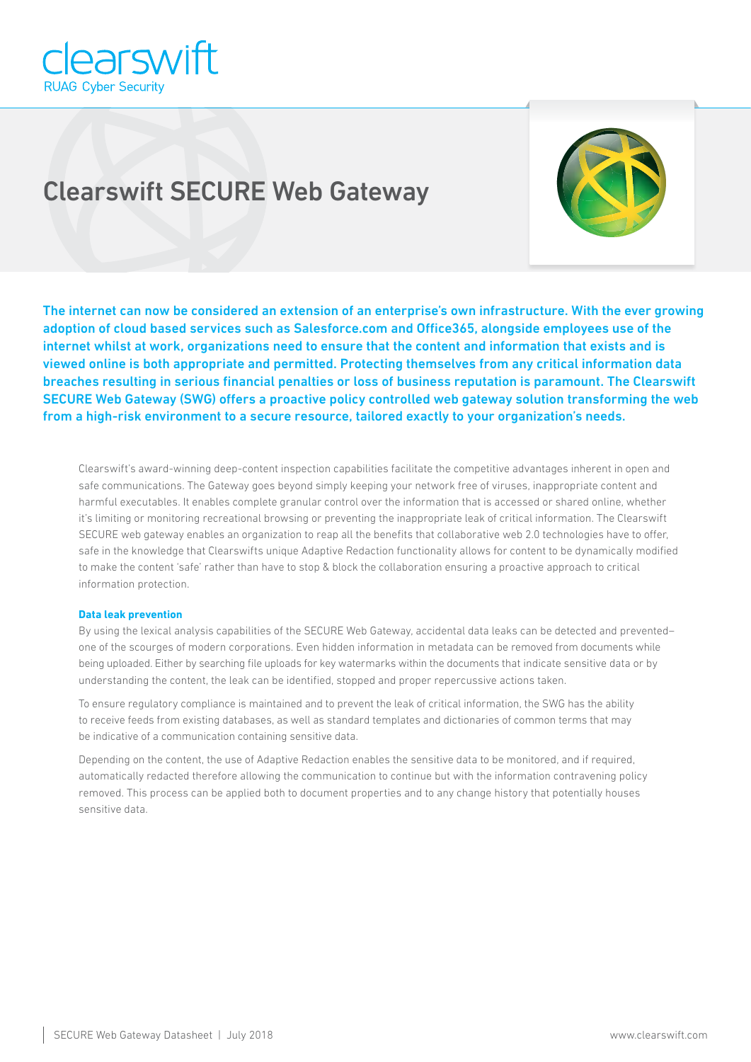

# Clearswift SECURE Web Gateway



The internet can now be considered an extension of an enterprise's own infrastructure. With the ever growing adoption of cloud based services such as Salesforce.com and Office365, alongside employees use of the internet whilst at work, organizations need to ensure that the content and information that exists and is viewed online is both appropriate and permitted. Protecting themselves from any critical information data breaches resulting in serious financial penalties or loss of business reputation is paramount. The Clearswift SECURE Web Gateway (SWG) offers a proactive policy controlled web gateway solution transforming the web from a high-risk environment to a secure resource, tailored exactly to your organization's needs.

Clearswift's award-winning deep-content inspection capabilities facilitate the competitive advantages inherent in open and safe communications. The Gateway goes beyond simply keeping your network free of viruses, inappropriate content and harmful executables. It enables complete granular control over the information that is accessed or shared online, whether it's limiting or monitoring recreational browsing or preventing the inappropriate leak of critical information. The Clearswift SECURE web gateway enables an organization to reap all the benefits that collaborative web 2.0 technologies have to offer, safe in the knowledge that Clearswifts unique Adaptive Redaction functionality allows for content to be dynamically modified to make the content 'safe' rather than have to stop & block the collaboration ensuring a proactive approach to critical information protection.

# **Data leak prevention**

By using the lexical analysis capabilities of the SECURE Web Gateway, accidental data leaks can be detected and prevented– one of the scourges of modern corporations. Even hidden information in metadata can be removed from documents while being uploaded. Either by searching file uploads for key watermarks within the documents that indicate sensitive data or by understanding the content, the leak can be identified, stopped and proper repercussive actions taken.

To ensure regulatory compliance is maintained and to prevent the leak of critical information, the SWG has the ability to receive feeds from existing databases, as well as standard templates and dictionaries of common terms that may be indicative of a communication containing sensitive data.

Depending on the content, the use of Adaptive Redaction enables the sensitive data to be monitored, and if required, automatically redacted therefore allowing the communication to continue but with the information contravening policy removed. This process can be applied both to document properties and to any change history that potentially houses sensitive data.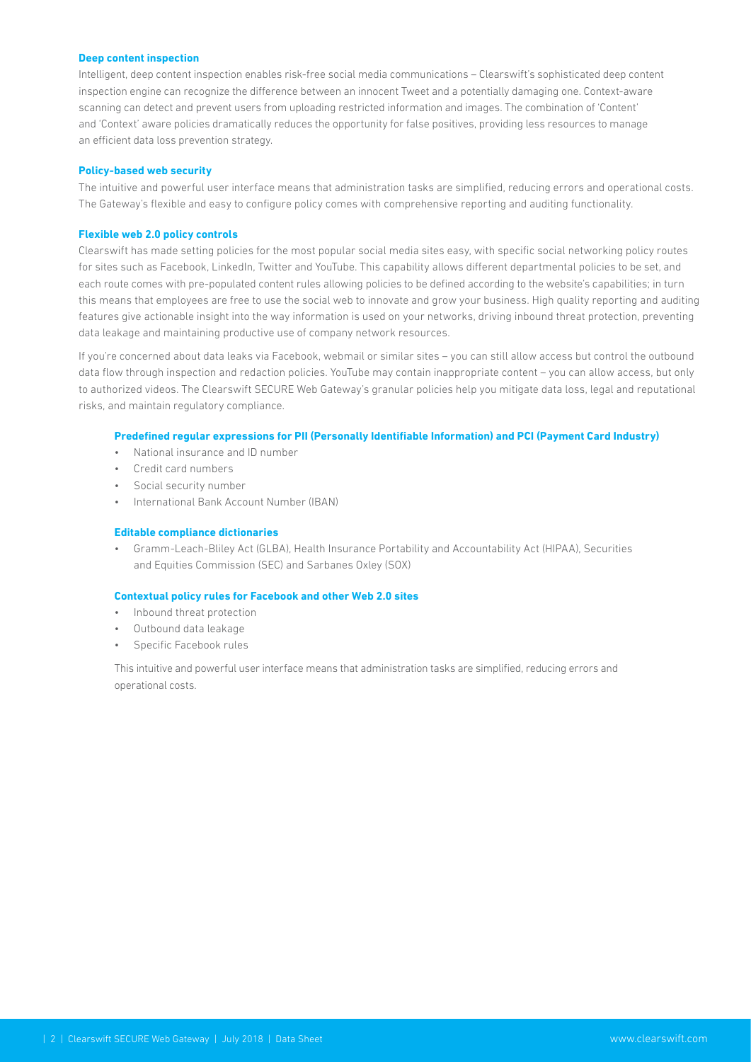#### **Deep content inspection**

Intelligent, deep content inspection enables risk-free social media communications – Clearswift's sophisticated deep content inspection engine can recognize the difference between an innocent Tweet and a potentially damaging one. Context-aware scanning can detect and prevent users from uploading restricted information and images. The combination of 'Content' and 'Context' aware policies dramatically reduces the opportunity for false positives, providing less resources to manage an efficient data loss prevention strategy.

## **Policy-based web security**

The intuitive and powerful user interface means that administration tasks are simplified, reducing errors and operational costs. The Gateway's flexible and easy to configure policy comes with comprehensive reporting and auditing functionality.

#### **Flexible web 2.0 policy controls**

Clearswift has made setting policies for the most popular social media sites easy, with specific social networking policy routes for sites such as Facebook, LinkedIn, Twitter and YouTube. This capability allows different departmental policies to be set, and each route comes with pre-populated content rules allowing policies to be defined according to the website's capabilities; in turn this means that employees are free to use the social web to innovate and grow your business. High quality reporting and auditing features give actionable insight into the way information is used on your networks, driving inbound threat protection, preventing data leakage and maintaining productive use of company network resources.

If you're concerned about data leaks via Facebook, webmail or similar sites – you can still allow access but control the outbound data flow through inspection and redaction policies. YouTube may contain inappropriate content – you can allow access, but only to authorized videos. The Clearswift SECURE Web Gateway's granular policies help you mitigate data loss, legal and reputational risks, and maintain regulatory compliance.

## **Predefined regular expressions for PII (Personally Identifiable Information) and PCI (Payment Card Industry)**

- National insurance and ID number
- Credit card numbers
- Social security number
- International Bank Account Number (IBAN)

# **Editable compliance dictionaries**

• Gramm-Leach-Bliley Act (GLBA), Health Insurance Portability and Accountability Act (HIPAA), Securities and Equities Commission (SEC) and Sarbanes Oxley (SOX)

# **Contextual policy rules for Facebook and other Web 2.0 sites**

- Inbound threat protection
- Outbound data leakage
- Specific Facebook rules

This intuitive and powerful user interface means that administration tasks are simplified, reducing errors and operational costs.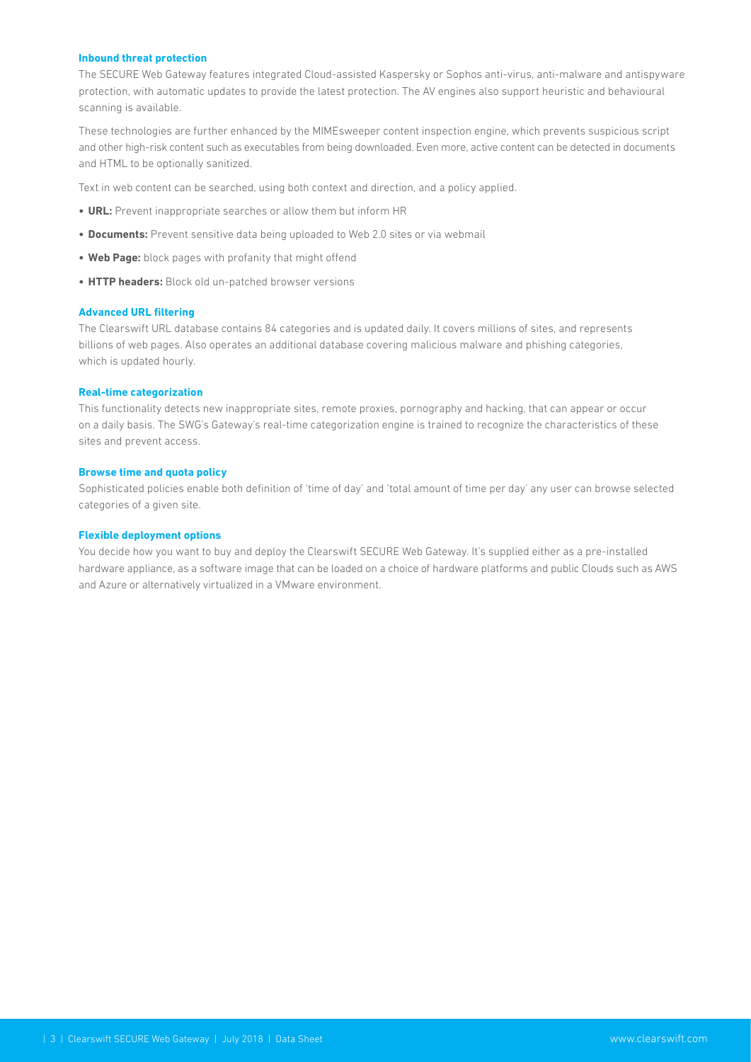#### **Inbound threat protection**

The SECURE Web Gateway features integrated Cloud-assisted Kaspersky or Sophos anti-virus, anti-malware and antispyware protection, with automatic updates to provide the latest protection. The AV engines also support heuristic and behavioural scanning is available.

These technologies are further enhanced by the MIMEsweeper content inspection engine, which prevents suspicious script and other high-risk content such as executables from being downloaded. Even more, active content can be detected in documents and HTML to be optionally sanitized.

Text in web content can be searched, using both context and direction, and a policy applied.

- **• URL:** Prevent inappropriate searches or allow them but inform HR
- **• Documents:** Prevent sensitive data being uploaded to Web 2.0 sites or via webmail
- **• Web Page:** block pages with profanity that might offend
- **• HTTP headers:** Block old un-patched browser versions

# **Advanced URL filtering**

The Clearswift URL database contains 84 categories and is updated daily. It covers millions of sites, and represents billions of web pages. Also operates an additional database covering malicious malware and phishing categories, which is updated hourly.

## **Real-time categorization**

This functionality detects new inappropriate sites, remote proxies, pornography and hacking, that can appear or occur on a daily basis. The SWG's Gateway's real-time categorization engine is trained to recognize the characteristics of these sites and prevent access.

#### **Browse time and quota policy**

Sophisticated policies enable both definition of 'time of day' and 'total amount of time per day' any user can browse selected categories of a given site.

## **Flexible deployment options**

You decide how you want to buy and deploy the Clearswift SECURE Web Gateway. It's supplied either as a pre-installed hardware appliance, as a software image that can be loaded on a choice of hardware platforms and public Clouds such as AWS and Azure or alternatively virtualized in a VMware environment.